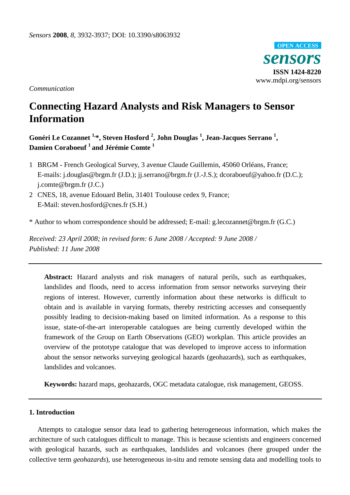

*Communication* 

# **Connecting Hazard Analysts and Risk Managers to Sensor Information**

**Gonéri Le Cozannet 1,\*, Steven Hosford <sup>2</sup> , John Douglas <sup>1</sup> , Jean-Jacques Serrano <sup>1</sup> , Damien Coraboeuf <sup>1</sup>and Jérémie Comte <sup>1</sup>**

- 1 BRGM French Geological Survey, 3 avenue Claude Guillemin, 45060 Orléans, France; E-mails: j.douglas@brgm.fr (J.D.); jj.serrano@brgm.fr (J.-J.S.); dcoraboeuf@yahoo.fr (D.C.); j.comte@brgm.fr (J.C.)
- 2 CNES, 18, avenue Edouard Belin, 31401 Toulouse cedex 9, France; E-Mail: steven.hosford@cnes.fr (S.H.)

\* Author to whom correspondence should be addressed; E-mail: g.lecozannet@brgm.fr (G.C.)

*Received: 23 April 2008; in revised form: 6 June 2008 / Accepted: 9 June 2008 / Published: 11 June 2008* 

**Abstract:** Hazard analysts and risk managers of natural perils, such as earthquakes, landslides and floods, need to access information from sensor networks surveying their regions of interest. However, currently information about these networks is difficult to obtain and is available in varying formats, thereby restricting accesses and consequently possibly leading to decision-making based on limited information. As a response to this issue, state-of-the-art interoperable catalogues are being currently developed within the framework of the Group on Earth Observations (GEO) workplan. This article provides an overview of the prototype catalogue that was developed to improve access to information about the sensor networks surveying geological hazards (geohazards), such as earthquakes, landslides and volcanoes.

**Keywords:** hazard maps, geohazards, OGC metadata catalogue, risk management, GEOSS.

#### **1. Introduction**

Attempts to catalogue sensor data lead to gathering heterogeneous information, which makes the architecture of such catalogues difficult to manage. This is because scientists and engineers concerned with geological hazards, such as earthquakes, landslides and volcanoes (here grouped under the collective term *geohazards*), use heterogeneous in-situ and remote sensing data and modelling tools to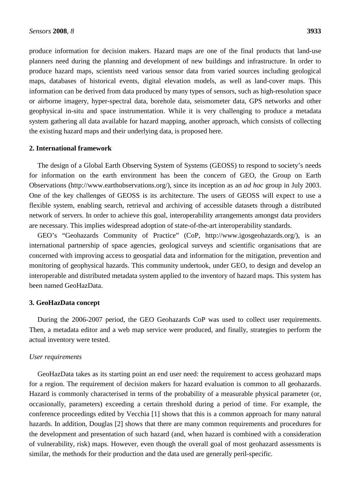produce information for decision makers. Hazard maps are one of the final products that land-use planners need during the planning and development of new buildings and infrastructure. In order to produce hazard maps, scientists need various sensor data from varied sources including geological maps, databases of historical events, digital elevation models, as well as land-cover maps. This information can be derived from data produced by many types of sensors, such as high-resolution space or airborne imagery, hyper-spectral data, borehole data, seismometer data, GPS networks and other geophysical in-situ and space instrumentation. While it is very challenging to produce a metadata system gathering all data available for hazard mapping, another approach, which consists of collecting the existing hazard maps and their underlying data, is proposed here.

#### **2. International framework**

The design of a Global Earth Observing System of Systems (GEOSS) to respond to society's needs for information on the earth environment has been the concern of GEO, the Group on Earth Observations (http://www.earthobservations.org/), since its inception as an *ad hoc* group in July 2003. One of the key challenges of GEOSS is its architecture. The users of GEOSS will expect to use a flexible system, enabling search, retrieval and archiving of accessible datasets through a distributed network of servers. In order to achieve this goal, interoperability arrangements amongst data providers are necessary. This implies widespread adoption of state-of-the-art interoperability standards.

GEO's "Geohazards Community of Practice" (CoP, http://www.igosgeohazards.org/), is an international partnership of space agencies, geological surveys and scientific organisations that are concerned with improving access to geospatial data and information for the mitigation, prevention and monitoring of geophysical hazards. This community undertook, under GEO, to design and develop an interoperable and distributed metadata system applied to the inventory of hazard maps. This system has been named GeoHazData.

#### **3. GeoHazData concept**

During the 2006-2007 period, the GEO Geohazards CoP was used to collect user requirements. Then, a metadata editor and a web map service were produced, and finally, strategies to perform the actual inventory were tested.

#### *User requirements*

GeoHazData takes as its starting point an end user need: the requirement to access geohazard maps for a region. The requirement of decision makers for hazard evaluation is common to all geohazards. Hazard is commonly characterised in terms of the probability of a measurable physical parameter (or, occasionally, parameters) exceeding a certain threshold during a period of time. For example, the conference proceedings edited by Vecchia [1] shows that this is a common approach for many natural hazards. In addition, Douglas [2] shows that there are many common requirements and procedures for the development and presentation of such hazard (and, when hazard is combined with a consideration of vulnerability, risk) maps. However, even though the overall goal of most geohazard assessments is similar, the methods for their production and the data used are generally peril-specific.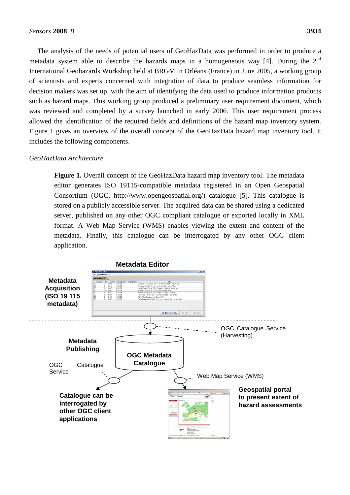The analysis of the needs of potential users of GeoHazData was performed in order to produce a metadata system able to describe the hazards maps in a homogeneous way [4]. During the  $2<sup>nd</sup>$ International Geohazards Workshop held at BRGM in Orléans (France) in June 2005, a working group of scientists and experts concerned with integration of data to produce seamless information for decision makers was set up, with the aim of identifying the data used to produce information products such as hazard maps. This working group produced a preliminary user requirement document, which was reviewed and completed by a survey launched in early 2006. This user requirement process allowed the identification of the required fields and definitions of the hazard map inventory system. Figure 1 gives an overview of the overall concept of the GeoHazData hazard map inventory tool. It includes the following components.

#### *GeoHazData Architecture*

**Figure 1.** Overall concept of the GeoHazData hazard map inventory tool. The metadata editor generates ISO 19115-compatible metadata registered in an Open Geospatial Consortium (OGC, http://www.opengeospatial.org/) catalogue [5]. This catalogue is stored on a publicly accessible server. The acquired data can be shared using a dedicated server, published on any other OGC compliant catalogue or exported locally in XML format. A Web Map Service (WMS) enables viewing the extent and content of the metadata. Finally, this catalogue can be interrogated by any other OGC client application.

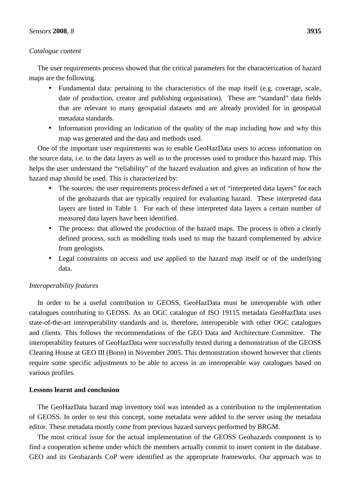## *Catalogue content*

The user requirements process showed that the critical parameters for the characterization of hazard maps are the following.

- Fundamental data: pertaining to the characteristics of the map itself (e.g. coverage, scale, date of production, creator and publishing organisation). These are "standard" data fields that are relevant to many geospatial datasets and are already provided for in geospatial metadata standards.
- Information providing an indication of the quality of the map including how and why this map was generated and the data and methods used.

One of the important user requirements was to enable GeoHazData users to access information on the source data, i.e. to the data layers as well as to the processes used to produce this hazard map. This helps the user understand the "reliability" of the hazard evaluation and gives an indication of how the hazard map should be used. This is characterized by:

- The sources: the user requirements process defined a set of "interpreted data layers" for each of the geohazards that are typically required for evaluating hazard. These interpreted data layers are listed in Table 1. For each of these interpreted data layers a certain number of measured data layers have been identified.
- The process: that allowed the production of the hazard maps. The process is often a clearly defined process, such as modelling tools used to map the hazard complemented by advice from geologists.
- Legal constraints on access and use applied to the hazard map itself or of the underlying data.

## *Interoperability features*

In order to be a useful contribution to GEOSS, GeoHazData must be interoperable with other catalogues contributing to GEOSS. As an OGC catalogue of ISO 19115 metadata GeoHazData uses state-of-the-art interoperability standards and is, therefore, interoperable with other OGC catalogues and clients. This follows the recommendations of the GEO Data and Architecture Committee. The interoperability features of GeoHazData were successfully tested during a demonstration of the GEOSS Clearing House at GEO III (Bonn) in November 2005. This demonstration showed however that clients require some specific adjustments to be able to access in an interoperable way catalogues based on various profiles.

## **Lessons learnt and conclusion**

The GeoHazData hazard map inventory tool was intended as a contribution to the implementation of GEOSS. In order to test this concept, some metadata were added to the server using the metadata editor. These metadata mostly come from previous hazard surveys performed by BRGM.

The most critical issue for the actual implementation of the GEOSS Geohazards component is to find a cooperation scheme under which the members actually commit to insert content in the database. GEO and its Geohazards CoP were identified as the appropriate frameworks. Our approach was to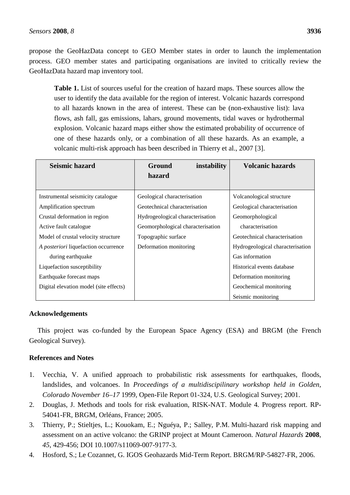propose the GeoHazData concept to GEO Member states in order to launch the implementation process. GEO member states and participating organisations are invited to critically review the GeoHazData hazard map inventory tool.

**Table 1.** List of sources useful for the creation of hazard maps. These sources allow the user to identify the data available for the region of interest. Volcanic hazards correspond to all hazards known in the area of interest. These can be (non-exhaustive list): lava flows, ash fall, gas emissions, lahars, ground movements, tidal waves or hydrothermal explosion. Volcanic hazard maps either show the estimated probability of occurrence of one of these hazards only, or a combination of all these hazards. As an example, a volcanic multi-risk approach has been described in Thierry et al., 2007 [3].

| <b>Seismic hazard</b>                       | <b>Ground</b><br>instability<br>hazard | <b>Volcanic hazards</b>          |
|---------------------------------------------|----------------------------------------|----------------------------------|
| Instrumental seismicity catalogue           | Geological characterisation            | Volcanological structure         |
| Amplification spectrum                      | Geotechnical characterisation          | Geological characterisation      |
| Crustal deformation in region               | Hydrogeological characterisation       | Geomorphological                 |
| Active fault catalogue                      | Geomorphological characterisation      | characterisation                 |
| Model of crustal velocity structure         | Topographic surface                    | Geotechnical characterisation    |
| A <i>posteriori</i> liquefaction occurrence | Deformation monitoring                 | Hydrogeological characterisation |
| during earthquake                           |                                        | Gas information                  |
| Liquefaction susceptibility                 |                                        | Historical events database       |
| Earthquake forecast maps                    |                                        | Deformation monitoring           |
| Digital elevation model (site effects)      |                                        | Geochemical monitoring           |
|                                             |                                        | Seismic monitoring               |

## **Acknowledgements**

This project was co-funded by the European Space Agency (ESA) and BRGM (the French Geological Survey).

## **References and Notes**

- 1. Vecchia, V. A unified approach to probabilistic risk assessments for earthquakes, floods, landslides, and volcanoes. In *Proceedings of a multidiscipilinary workshop held in Golden*, *Colorado November 16–17* 1999*,* Open-File Report 01-324, U.S. Geological Survey; 2001.
- 2. Douglas, J. Methods and tools for risk evaluation, RISK-NAT. Module 4*.* Progress report. RP-54041-FR, BRGM, Orléans, France; 2005.
- 3. Thierry, P.; Stieltjes, L.; Kouokam, E.; Nguéya, P.; Salley, P.M. Multi-hazard risk mapping and assessment on an active volcano: the GRINP project at Mount Cameroon. *Natural Hazards* **2008**, *45*, 429-456; DOI 10.1007/s11069-007-9177-3.
- 4. Hosford, S.; Le Cozannet, G. IGOS Geohazards Mid-Term Report. BRGM/RP-54827-FR, 2006.